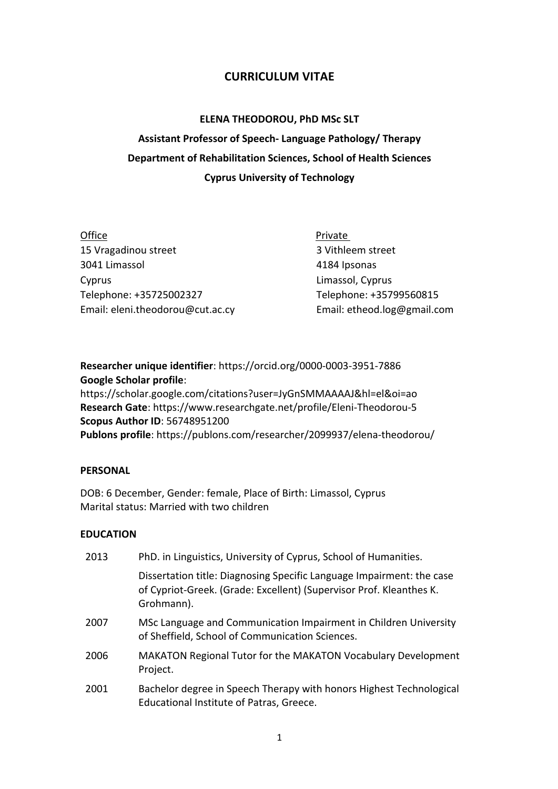# **CURRICULUM VITAE**

### **ELENA THEODOROU, PhD MSc SLT**

**Assistant Professor of Speech- Language Pathology/ Therapy Department of Rehabilitation Sciences, School of Health Sciences Cyprus University of Technology**

| Office                           | Private                     |
|----------------------------------|-----------------------------|
| 15 Vragadinou street             | 3 Vithleem street           |
| 3041 Limassol                    | 4184 Ipsonas                |
| Cyprus                           | Limassol, Cyprus            |
| Telephone: +35725002327          | Telephone: +35799560815     |
| Email: eleni.theodorou@cut.ac.cy | Email: etheod.log@gmail.com |

**Researcher unique identifier**: https://orcid.org/0000-0003-3951-7886 **Google Scholar profile**: https://scholar.google.com/citations?user=JyGnSMMAAAAJ&hl=el&oi=ao **Research Gate**: https://www.researchgate.net/profile/Eleni-Theodorou-5 **Scopus Author ID**: 56748951200 **Publons profile**: https://publons.com/researcher/2099937/elena-theodorou/

### **PERSONAL**

DOB: 6 December, Gender: female, Place of Birth: Limassol, Cyprus Marital status: Married with two children

## **EDUCATION**

| 2013 | PhD. in Linguistics, University of Cyprus, School of Humanities.                                                                                           |
|------|------------------------------------------------------------------------------------------------------------------------------------------------------------|
|      | Dissertation title: Diagnosing Specific Language Impairment: the case<br>of Cypriot-Greek. (Grade: Excellent) (Supervisor Prof. Kleanthes K.<br>Grohmann). |
| 2007 | MSc Language and Communication Impairment in Children University<br>of Sheffield, School of Communication Sciences.                                        |
| 2006 | MAKATON Regional Tutor for the MAKATON Vocabulary Development<br>Project.                                                                                  |
| 2001 | Bachelor degree in Speech Therapy with honors Highest Technological<br>Educational Institute of Patras, Greece.                                            |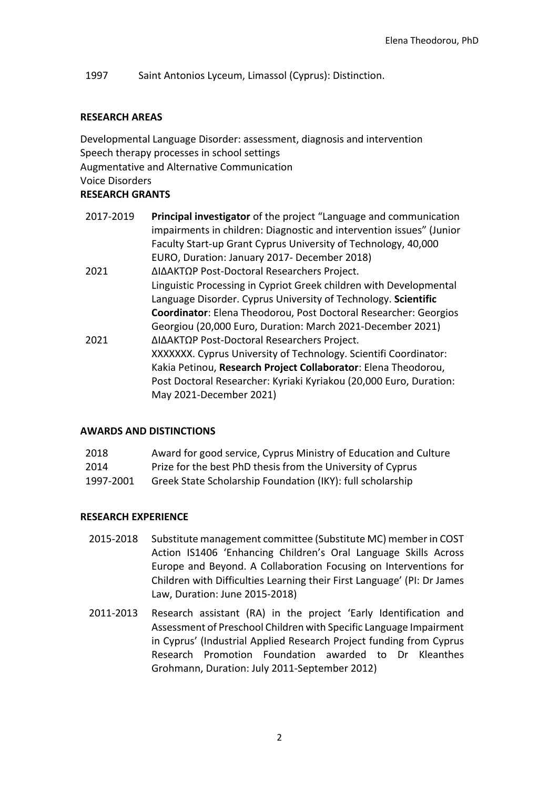1997 Saint Antonios Lyceum, Limassol (Cyprus): Distinction.

### **RESEARCH AREAS**

Developmental Language Disorder: assessment, diagnosis and intervention Speech therapy processes in school settings Augmentative and Alternative Communication Voice Disorders **RESEARCH GRANTS**

| 2017-2019 | <b>Principal investigator</b> of the project "Language and communication<br>impairments in children: Diagnostic and intervention issues" (Junior |
|-----------|--------------------------------------------------------------------------------------------------------------------------------------------------|
|           | Faculty Start-up Grant Cyprus University of Technology, 40,000                                                                                   |
|           | EURO, Duration: January 2017- December 2018)                                                                                                     |
| 2021      | ΔΙΔΑΚΤΩΡ Post-Doctoral Researchers Project.                                                                                                      |
|           | Linguistic Processing in Cypriot Greek children with Developmental                                                                               |
|           | Language Disorder. Cyprus University of Technology. Scientific                                                                                   |
|           | Coordinator: Elena Theodorou, Post Doctoral Researcher: Georgios                                                                                 |
|           | Georgiou (20,000 Euro, Duration: March 2021-December 2021)                                                                                       |
| 2021      | ΔΙΔΑΚΤΩΡ Post-Doctoral Researchers Project.                                                                                                      |
|           | XXXXXXX. Cyprus University of Technology. Scientifi Coordinator:                                                                                 |
|           | Kakia Petinou, Research Project Collaborator: Elena Theodorou,                                                                                   |
|           | Post Doctoral Researcher: Kyriaki Kyriakou (20,000 Euro, Duration:                                                                               |
|           | May 2021-December 2021)                                                                                                                          |

### **AWARDS AND DISTINCTIONS**

| 2018                                                             | Award for good service, Cyprus Ministry of Education and Culture |
|------------------------------------------------------------------|------------------------------------------------------------------|
| $\begin{array}{c} \n\bullet \bullet \bullet \bullet \end{array}$ |                                                                  |

- 2014 Prize for the best PhD thesis from the University of Cyprus
- 1997-2001 Greek State Scholarship Foundation (ΙΚΥ): full scholarship

## **RESEARCH EXPERIENCE**

- 2015-2018 Substitute management committee (Substitute MC) member in COST Action IS1406 'Enhancing Children's Oral Language Skills Across Europe and Beyond. A Collaboration Focusing on Interventions for Children with Difficulties Learning their First Language' (PI: Dr James Law, Duration: June 2015-2018)
- 2011-2013 Research assistant (RA) in the project 'Early Identification and Assessment of Preschool Children with Specific Language Impairment in Cyprus' (Industrial Applied Research Project funding from Cyprus Research Promotion Foundation awarded to Dr Kleanthes Grohmann, Duration: July 2011-September 2012)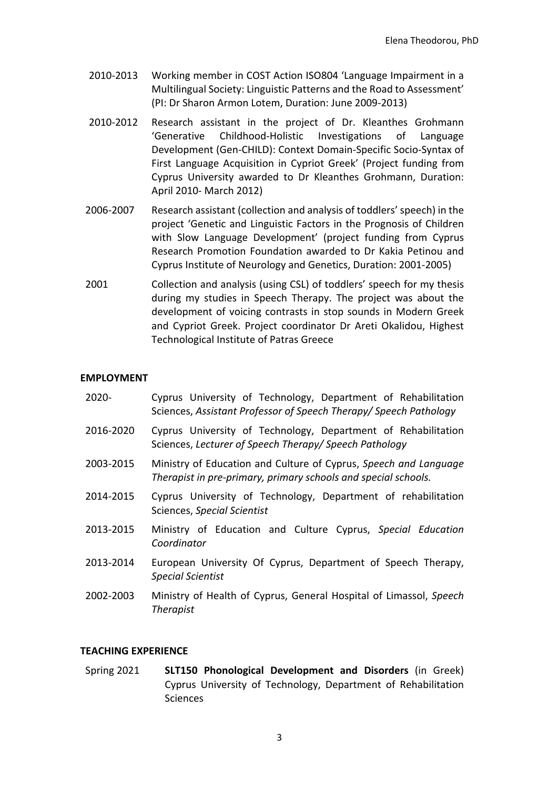- 2010-2013 Working member in COST Action ISO804 'Language Impairment in a Multilingual Society: Linguistic Patterns and the Road to Assessment' (PI: Dr Sharon Armon Lotem, Duration: June 2009-2013)
- 2010-2012 Research assistant in the project of Dr. Kleanthes Grohmann 'Generative Childhood-Holistic Investigations of Language Development (Gen-CHILD): Context Domain-Specific Socio-Syntax of First Language Acquisition in Cypriot Greek' (Project funding from Cyprus University awarded to Dr Kleanthes Grohmann, Duration: April 2010- March 2012)
- 2006-2007 Research assistant (collection and analysis of toddlers' speech) in the project 'Genetic and Linguistic Factors in the Prognosis of Children with Slow Language Development' (project funding from Cyprus Research Promotion Foundation awarded to Dr Kakia Petinou and Cyprus Institute of Neurology and Genetics, Duration: 2001-2005)
- 2001 Collection and analysis (using CSL) of toddlers' speech for my thesis during my studies in Speech Therapy. The project was about the development of voicing contrasts in stop sounds in Modern Greek and Cypriot Greek. Project coordinator Dr Areti Okalidou, Highest Technological Institute of Patras Greece

### **EMPLOYMENT**

| $2020 -$  | Cyprus University of Technology, Department of Rehabilitation<br>Sciences, Assistant Professor of Speech Therapy/ Speech Pathology |
|-----------|------------------------------------------------------------------------------------------------------------------------------------|
| 2016-2020 | Cyprus University of Technology, Department of Rehabilitation<br>Sciences, Lecturer of Speech Therapy/Speech Pathology             |
| 2003-2015 | Ministry of Education and Culture of Cyprus, Speech and Language<br>Therapist in pre-primary, primary schools and special schools. |
| 2014-2015 | Cyprus University of Technology, Department of rehabilitation<br>Sciences, Special Scientist                                       |
| 2013-2015 | Ministry of Education and Culture Cyprus, Special Education<br>Coordinator                                                         |
| 2013-2014 | European University Of Cyprus, Department of Speech Therapy,<br><b>Special Scientist</b>                                           |
| 2002-2003 | Ministry of Health of Cyprus, General Hospital of Limassol, Speech<br>Therapist                                                    |
|           |                                                                                                                                    |

#### **TEACHING EXPERIENCE**

Spring 2021 **SLT150 Phonological Development and Disorders** (in Greek) Cyprus University of Technology, Department of Rehabilitation Sciences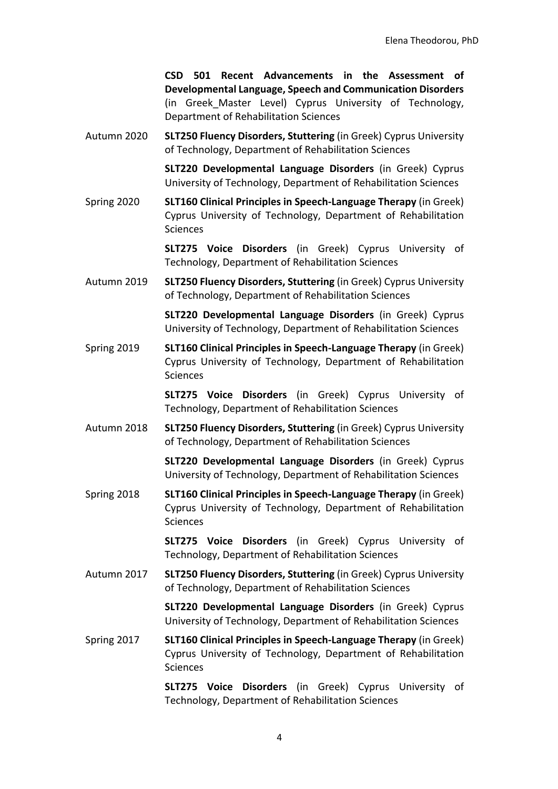**CSD 501 Recent Advancements in the Assessment of Developmental Language, Speech and Communication Disorders** (in Greek\_Master Level) Cyprus University of Technology, Department of Rehabilitation Sciences

Autumn 2020 **SLT250 Fluency Disorders, Stuttering** (in Greek) Cyprus University of Technology, Department of Rehabilitation Sciences

> **SLT220 Developmental Language Disorders** (in Greek) Cyprus University of Technology, Department of Rehabilitation Sciences

Spring 2020 **SLT160 Clinical Principles in Speech-Language Therapy** (in Greek) Cyprus University of Technology, Department of Rehabilitation Sciences

> **SLT275 Voice Disorders** (in Greek) Cyprus University of Technology, Department of Rehabilitation Sciences

Autumn 2019 **SLT250 Fluency Disorders, Stuttering** (in Greek) Cyprus University of Technology, Department of Rehabilitation Sciences

> **SLT220 Developmental Language Disorders** (in Greek) Cyprus University of Technology, Department of Rehabilitation Sciences

Spring 2019 **SLT160 Clinical Principles in Speech-Language Therapy** (in Greek) Cyprus University of Technology, Department of Rehabilitation **Sciences** 

> **SLT275 Voice Disorders** (in Greek) Cyprus University of Technology, Department of Rehabilitation Sciences

Autumn 2018 **SLT250 Fluency Disorders, Stuttering** (in Greek) Cyprus University of Technology, Department of Rehabilitation Sciences

> **SLT220 Developmental Language Disorders** (in Greek) Cyprus University of Technology, Department of Rehabilitation Sciences

Spring 2018 **SLT160 Clinical Principles in Speech-Language Therapy** (in Greek) Cyprus University of Technology, Department of Rehabilitation Sciences

> **SLT275 Voice Disorders** (in Greek) Cyprus University of Technology, Department of Rehabilitation Sciences

Autumn 2017 **SLT250 Fluency Disorders, Stuttering** (in Greek) Cyprus University of Technology, Department of Rehabilitation Sciences

> **SLT220 Developmental Language Disorders** (in Greek) Cyprus University of Technology, Department of Rehabilitation Sciences

Spring 2017 **SLT160 Clinical Principles in Speech-Language Therapy** (in Greek) Cyprus University of Technology, Department of Rehabilitation Sciences

> **SLT275 Voice Disorders** (in Greek) Cyprus University of Technology, Department of Rehabilitation Sciences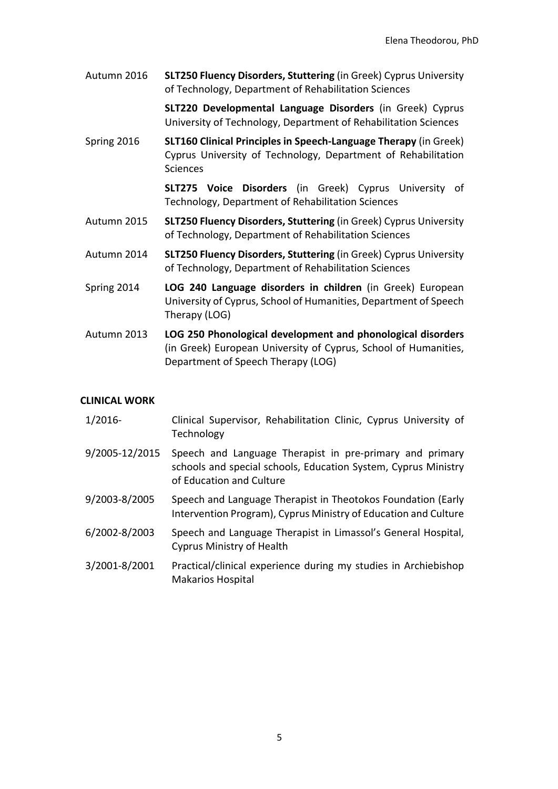Autumn 2016 **SLT250 Fluency Disorders, Stuttering** (in Greek) Cyprus University of Technology, Department of Rehabilitation Sciences

> **SLT220 Developmental Language Disorders** (in Greek) Cyprus University of Technology, Department of Rehabilitation Sciences

Spring 2016 **SLT160 Clinical Principles in Speech-Language Therapy** (in Greek) Cyprus University of Technology, Department of Rehabilitation Sciences

> **SLT275 Voice Disorders** (in Greek) Cyprus University of Technology, Department of Rehabilitation Sciences

- Autumn 2015 **SLT250 Fluency Disorders, Stuttering** (in Greek) Cyprus University of Technology, Department of Rehabilitation Sciences
- Autumn 2014 **SLT250 Fluency Disorders, Stuttering** (in Greek) Cyprus University of Technology, Department of Rehabilitation Sciences
- Spring 2014 **LOG 240 Language disorders in children** (in Greek) European University of Cyprus, School of Humanities, Department of Speech Therapy (LOG)
- Autumn 2013 **LOG 250 Phonological development and phonological disorders**  (in Greek) European University of Cyprus, School of Humanities, Department of Speech Therapy (LOG)

## **CLINICAL WORK**

| $1/2016-$      | Clinical Supervisor, Rehabilitation Clinic, Cyprus University of<br>Technology                                                                         |
|----------------|--------------------------------------------------------------------------------------------------------------------------------------------------------|
| 9/2005-12/2015 | Speech and Language Therapist in pre-primary and primary<br>schools and special schools, Education System, Cyprus Ministry<br>of Education and Culture |
| 9/2003-8/2005  | Speech and Language Therapist in Theotokos Foundation (Early<br>Intervention Program), Cyprus Ministry of Education and Culture                        |
| 6/2002-8/2003  | Speech and Language Therapist in Limassol's General Hospital,<br><b>Cyprus Ministry of Health</b>                                                      |
| 3/2001-8/2001  | Practical/clinical experience during my studies in Archiebishop<br><b>Makarios Hospital</b>                                                            |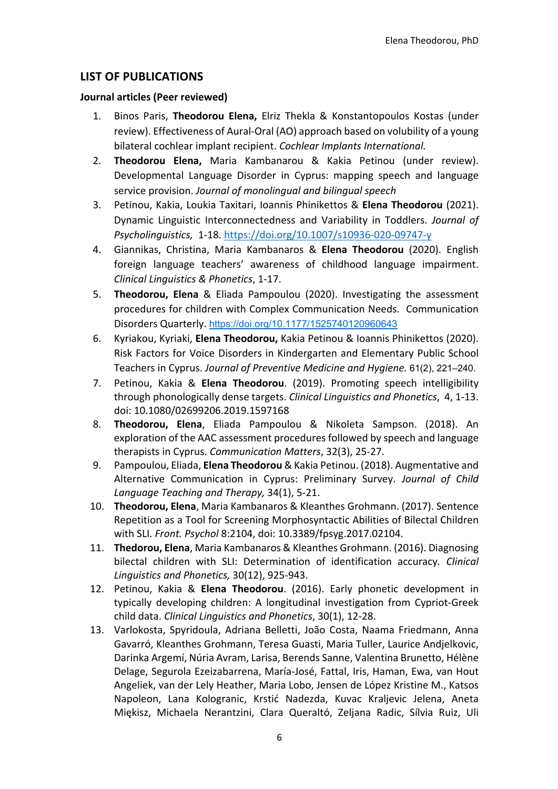# **LIST OF PUBLICATIONS**

## **Journal articles (Peer reviewed)**

- 1. Binos Paris, **Theodorou Elena,** Elriz Thekla & Konstantopoulos Kostas (under review). Effectiveness of Aural-Oral (AO) approach based on volubility of a young bilateral cochlear implant recipient. *Cochlear Implants International.*
- 2. **Theodorou Elena,** Maria Kambanarou & Kakia Petinou (under review). Developmental Language Disorder in Cyprus: mapping speech and language service provision. *Journal of monolingual and bilingual speech*
- 3. Petinou, Kakia, Loukia Taxitari, Ioannis Phinikettos & **Elena Theodorou** (2021). Dynamic Linguistic Interconnectedness and Variability in Toddlers. *Journal of Psycholinguistics,* 1-18. https://doi.org/10.1007/s10936-020-09747-y
- 4. Giannikas, Christina, Maria Kambanaros & **Elena Theodorou** (2020). English foreign language teachers' awareness of childhood language impairment. *Clinical Linguistics & Phonetics*, 1-17.
- 5. **Theodorou, Elena** & Eliada Pampoulou (2020). Investigating the assessment procedures for children with Complex Communication Needs. Communication Disorders Quarterly. https://doi.org/10.1177/1525740120960643
- 6. Kyriakou, Kyriaki, **Elena Theodorou,** Kakia Petinou & Ioannis Phinikettos (2020). Risk Factors for Voice Disorders in Kindergarten and Elementary Public School Teachers in Cyprus. *Journal of Preventive Medicine and Hygiene.* 61(2), 221–240.
- 7. Petinou, Kakia & **Elena Theodorou**. (2019). Promoting speech intelligibility through phonologically dense targets. *Clinical Linguistics and Phonetics*, 4, 1-13. doi: 10.1080/02699206.2019.1597168
- 8. **Theodorou, Elena**, Eliada Pampoulou & Nikoleta Sampson. (2018). An exploration of the AAC assessment procedures followed by speech and language therapists in Cyprus. *Communication Matters*, 32(3), 25-27.
- 9. Pampoulou, Eliada, **Elena Theodorou** & Kakia Petinou. (2018). Augmentative and Alternative Communication in Cyprus: Preliminary Survey. *Journal of Child Language Teaching and Therapy,* 34(1), 5-21.
- 10. **Theodorou, Elena**, Maria Kambanaros & Kleanthes Grohmann. (2017). Sentence Repetition as a Tool for Screening Morphosyntactic Abilities of Bilectal Children with SLI. *Front. Psychol* 8:2104, doi: 10.3389/fpsyg.2017.02104.
- 11. **Thedorou, Elena**, Maria Kambanaros & Kleanthes Grohmann. (2016). Diagnosing bilectal children with SLI: Determination of identification accuracy*. Clinical Linguistics and Phonetics,* 30(12), 925-943.
- 12. Petinou, Kakia & **Elena Theodorou**. (2016). Early phonetic development in typically developing children: A longitudinal investigation from Cypriot-Greek child data. *Clinical Linguistics and Phonetics*, 30(1), 12-28.
- 13. Varlokosta, Spyridoula, Adriana Belletti, João Costa, Naama Friedmann, Anna Gavarró, Kleanthes Grohmann, Teresa Guasti, Maria Tuller, Laurice Andjelkovic, Darinka Argemí, Núria Avram, Larisa, Berends Sanne, Valentina Brunetto, Hélène Delage, Segurola Ezeizabarrena, María-José, Fattal, Iris, Haman, Ewa, van Hout Angeliek, van der Lely Heather, Maria Lobo, Jensen de López Kristine M., Katsos Napoleon, Lana Kologranic, Krstić Nadezda, Kuvac Kraljevic Jelena, Aneta Miękisz, Michaela Nerantzini, Clara Queraltó, Zeljana Radic, Sílvia Ruiz, Uli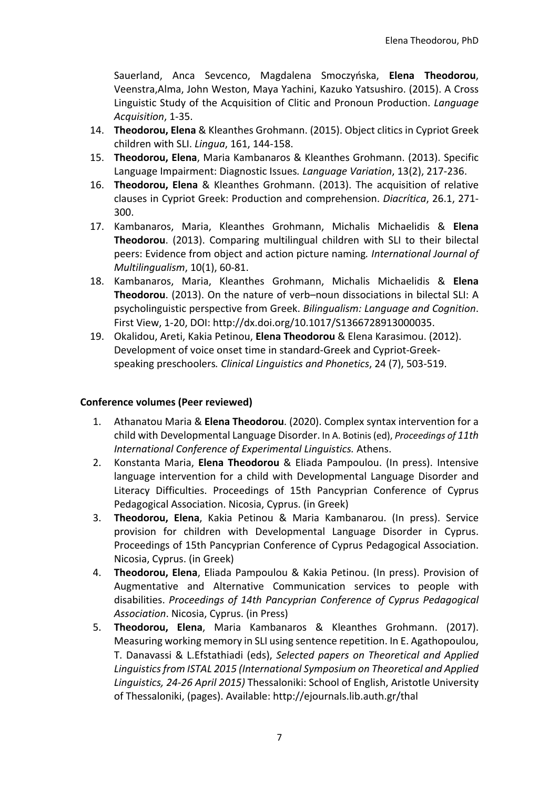Sauerland, Anca Sevcenco, Magdalena Smoczyńska, **Elena Theodorou**, Veenstra,Alma, John Weston, Maya Yachini, Kazuko Yatsushiro. (2015). A Cross Linguistic Study of the Acquisition of Clitic and Pronoun Production. *Language Acquisition*, 1-35.

- 14. **Theodorou, Elena** & Kleanthes Grohmann. (2015). Object clitics in Cypriot Greek children with SLI. *Lingua*, 161, 144-158.
- 15. **Theodorou, Elena**, Maria Kambanaros & Kleanthes Grohmann. (2013). Specific Language Impairment: Diagnostic Issues*. Language Variation*, 13(2), 217-236.
- 16. **Theodorou, Elena** & Kleanthes Grohmann. (2013). The acquisition of relative clauses in Cypriot Greek: Production and comprehension. *Diacrítica*, 26.1, 271- 300.
- 17. Kambanaros, Maria, Kleanthes Grohmann, Michalis Michaelidis & **Elena Theodorou**. (2013). Comparing multilingual children with SLI to their bilectal peers: Evidence from object and action picture naming*. International Journal of Multilingualism*, 10(1), 60-81.
- 18. Kambanaros, Maria, Kleanthes Grohmann, Michalis Michaelidis & **Elena Theodorou**. (2013). On the nature of verb–noun dissociations in bilectal SLI: A psycholinguistic perspective from Greek. *Bilingualism: Language and Cognition*. First View, 1-20, DOI: http://dx.doi.org/10.1017/S1366728913000035.
- 19. Okalidou, Areti, Kakia Petinou, **Elena Theodorou** & Elena Karasimou. (2012). Development of voice onset time in standard-Greek and Cypriot-Greekspeaking preschoolers*. Clinical Linguistics and Phonetics*, 24 (7), 503-519.

## **Conference volumes (Peer reviewed)**

- 1. Athanatou Maria & **Elena Theodorou**. (2020). Complex syntax intervention for a child with Developmental Language Disorder. In A. Botinis (ed), *Proceedings of 11th International Conference of Experimental Linguistics.* Athens.
- 2. Konstanta Maria, **Elena Theodorou** & Eliada Pampoulou. (In press). Intensive language intervention for a child with Developmental Language Disorder and Literacy Difficulties. Proceedings of 15th Pancyprian Conference of Cyprus Pedagogical Association. Nicosia, Cyprus. (in Greek)
- 3. **Theodorou, Elena**, Kakia Petinou & Maria Kambanarou. (In press). Service provision for children with Developmental Language Disorder in Cyprus. Proceedings of 15th Pancyprian Conference of Cyprus Pedagogical Association. Nicosia, Cyprus. (in Greek)
- 4. **Theodorou, Elena**, Eliada Pampoulou & Kakia Petinou. (In press). Provision of Augmentative and Alternative Communication services to people with disabilities. *Proceedings of 14th Pancyprian Conference of Cyprus Pedagogical Association*. Nicosia, Cyprus. (in Press)
- 5. **Theodorou, Elena**, Maria Kambanaros & Kleanthes Grohmann. (2017). Measuring working memory in SLI using sentence repetition. In E. Agathopoulou, T. Danavassi & L.Efstathiadi (eds), *Selected papers on Theoretical and Applied Linguistics from ISTAL 2015 (International Symposium on Theoretical and Applied Linguistics, 24-26 April 2015)* Thessaloniki: School of English, Aristotle University of Thessaloniki, (pages). Available: http://ejournals.lib.auth.gr/thal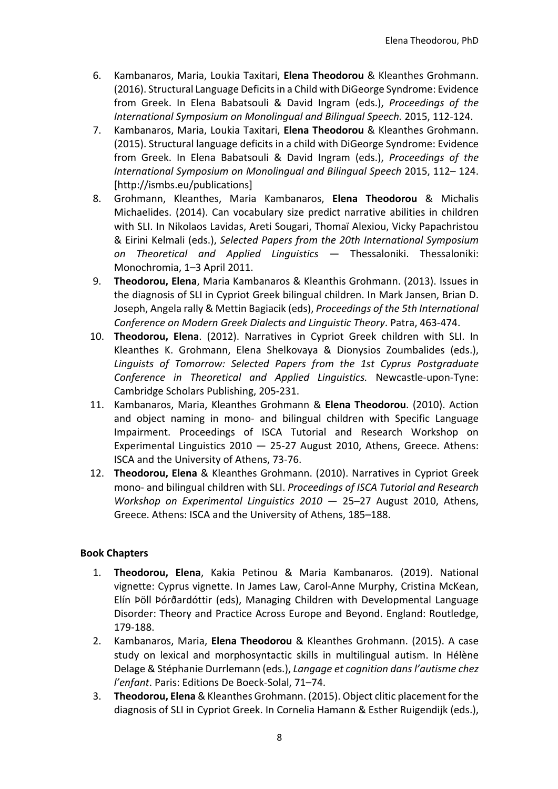- 6. Kambanaros, Maria, Loukia Taxitari, **Elena Theodorou** & Kleanthes Grohmann. (2016). Structural Language Deficits in a Child with DiGeorge Syndrome: Evidence from Greek. In Elena Babatsouli & David Ingram (eds.), *Proceedings of the International Symposium on Monolingual and Bilingual Speech.* 2015, 112-124.
- 7. Kambanaros, Maria, Loukia Taxitari, **Elena Theodorou** & Kleanthes Grohmann. (2015). Structural language deficits in a child with DiGeorge Syndrome: Evidence from Greek. In Elena Babatsouli & David Ingram (eds.), *Proceedings of the International Symposium on Monolingual and Bilingual Speech* 2015, 112– 124. [http://ismbs.eu/publications]
- 8. Grohmann, Kleanthes, Maria Kambanaros, **Elena Theodorou** & Michalis Michaelides. (2014). Can vocabulary size predict narrative abilities in children with SLI. In Nikolaos Lavidas, Areti Sougari, Thomaï Alexiou, Vicky Papachristou & Eirini Kelmali (eds.), *Selected Papers from the 20th International Symposium on Theoretical and Applied Linguistics* — Thessaloniki. Thessaloniki: Monochromia, 1–3 April 2011.
- 9. **Theodorou, Elena**, Maria Kambanaros & Kleanthis Grohmann. (2013). Issues in the diagnosis of SLI in Cypriot Greek bilingual children. In Mark Jansen, Brian D. Joseph, Angela rally & Mettin Bagiacik (eds), *Proceedings of the 5th International Conference on Modern Greek Dialects and Linguistic Theory*. Patra, 463-474.
- 10. **Theodorou, Elena**. (2012). Narratives in Cypriot Greek children with SLI. In Kleanthes K. Grohmann, Elena Shelkovaya & Dionysios Zoumbalides (eds.), *Linguists of Tomorrow: Selected Papers from the 1st Cyprus Postgraduate Conference in Theoretical and Applied Linguistics.* Newcastle-upon-Tyne: Cambridge Scholars Publishing, 205-231.
- 11. Kambanaros, Maria, Kleanthes Grohmann & **Elena Theodorou**. (2010). Action and object naming in mono- and bilingual children with Specific Language Impairment. Proceedings of ISCA Tutorial and Research Workshop on Experimental Linguistics  $2010 - 25-27$  August 2010, Athens, Greece. Athens: ISCA and the University of Athens, 73-76.
- 12. **Theodorou, Elena** & Kleanthes Grohmann. (2010). Narratives in Cypriot Greek mono- and bilingual children with SLI. *Proceedings of ISCA Tutorial and Research Workshop on Experimental Linguistics 2010* — 25–27 August 2010, Athens, Greece. Athens: ISCA and the University of Athens, 185–188.

## **Book Chapters**

- 1. **Theodorou, Elena**, Kakia Petinou & Maria Kambanaros. (2019). National vignette: Cyprus vignette. In James Law, Carol-Anne Murphy, Cristina McKean, Elín Þöll Þórðardóttir (eds), Managing Children with Developmental Language Disorder: Theory and Practice Across Europe and Beyond. England: Routledge, 179-188.
- 2. Kambanaros, Maria, **Elena Theodorou** & Kleanthes Grohmann. (2015). A case study on lexical and morphosyntactic skills in multilingual autism. In Hélène Delage & Stéphanie Durrlemann (eds.), *Langage et cognition dans l'autisme chez l'enfant*. Paris: Editions De Boeck-Solal, 71–74.
- 3. **Theodorou, Elena** & Kleanthes Grohmann. (2015). Object clitic placement for the diagnosis of SLI in Cypriot Greek. In Cornelia Hamann & Esther Ruigendijk (eds.),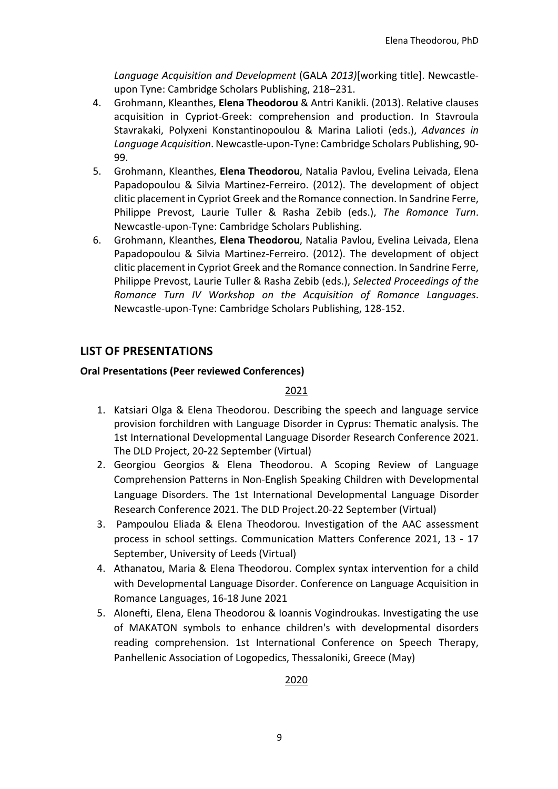*Language Acquisition and Development* (GALA *2013)*[working title]. Newcastleupon Tyne: Cambridge Scholars Publishing, 218–231.

- 4. Grohmann, Kleanthes, **Elena Theodorou** & Antri Kanikli. (2013). Relative clauses acquisition in Cypriot-Greek: comprehension and production. In Stavroula Stavrakaki, Polyxeni Konstantinopoulou & Marina Lalioti (eds.), *Advances in Language Acquisition*. Newcastle-upon-Tyne: Cambridge Scholars Publishing, 90- 99.
- 5. Grohmann, Kleanthes, **Elena Theodorou**, Natalia Pavlou, Evelina Leivada, Elena Papadopoulou & Silvia Martinez-Ferreiro. (2012). The development of object clitic placement in Cypriot Greek and the Romance connection. In Sandrine Ferre, Philippe Prevost, Laurie Tuller & Rasha Zebib (eds.), *The Romance Turn*. Newcastle-upon-Tyne: Cambridge Scholars Publishing.
- 6. Grohmann, Kleanthes, **Elena Theodorou**, Natalia Pavlou, Evelina Leivada, Elena Papadopoulou & Silvia Martinez-Ferreiro. (2012). The development of object clitic placement in Cypriot Greek and the Romance connection. In Sandrine Ferre, Philippe Prevost, Laurie Tuller & Rasha Zebib (eds.), *Selected Proceedings of the Romance Turn IV Workshop on the Acquisition of Romance Languages*. Newcastle-upon-Tyne: Cambridge Scholars Publishing, 128-152.

# **LIST OF PRESENTATIONS**

### **Oral Presentations (Peer reviewed Conferences)**

### 2021

- 1. Katsiari Olga & Elena Theodorou. Describing the speech and language service provision forchildren with Language Disorder in Cyprus: Thematic analysis. The 1st International Developmental Language Disorder Research Conference 2021. The DLD Project, 20-22 September (Virtual)
- 2. Georgiou Georgios & Elena Theodorou. A Scoping Review of Language Comprehension Patterns in Non-English Speaking Children with Developmental Language Disorders. The 1st International Developmental Language Disorder Research Conference 2021. The DLD Project.20-22 September (Virtual)
- 3. Pampoulou Eliada & Elena Theodorou. Investigation of the AAC assessment process in school settings. Communication Matters Conference 2021, 13 - 17 September, University of Leeds (Virtual)
- 4. Athanatou, Maria & Elena Theodorou. Complex syntax intervention for a child with Developmental Language Disorder. Conference on Language Acquisition in Romance Languages, 16-18 June 2021
- 5. Alonefti, Elena, Elena Theodorou & Ioannis Vogindroukas. Investigating the use of MAKATON symbols to enhance children's with developmental disorders reading comprehension. 1st International Conference on Speech Therapy, Panhellenic Association of Logopedics, Thessaloniki, Greece (May)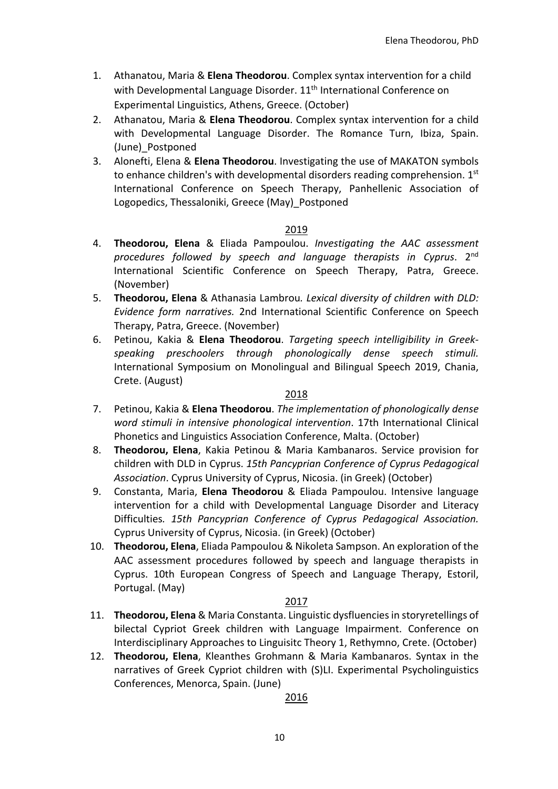- 1. Athanatou, Maria & **Elena Theodorou**. Complex syntax intervention for a child with Developmental Language Disorder. 11<sup>th</sup> International Conference on Experimental Linguistics, Athens, Greece. (October)
- 2. Athanatou, Maria & **Elena Theodorou**. Complex syntax intervention for a child with Developmental Language Disorder. The Romance Turn, Ibiza, Spain. (June)\_Postponed
- 3. Alonefti, Elena & **Elena Theodorou**. Investigating the use of MAKATON symbols to enhance children's with developmental disorders reading comprehension.  $1<sup>st</sup>$ International Conference on Speech Therapy, Panhellenic Association of Logopedics, Thessaloniki, Greece (May)\_Postponed

## 2019

- 4. **Theodorou, Elena** & Eliada Pampoulou. *Investigating the AAC assessment procedures followed by speech and language therapists in Cyprus*. 2nd International Scientific Conference on Speech Therapy, Patra, Greece. (November)
- 5. **Theodorou, Elena** & Athanasia Lambrou*. Lexical diversity of children with DLD: Evidence form narratives.* 2nd International Scientific Conference on Speech Therapy, Patra, Greece. (November)
- 6. Petinou, Kakia & **Elena Theodorou**. *Targeting speech intelligibility in Greekspeaking preschoolers through phonologically dense speech stimuli.*  International Symposium on Monolingual and Bilingual Speech 2019, Chania, Crete. (August)

### 2018

- 7. Petinou, Kakia & **Elena Theodorou**. *The implementation of phonologically dense word stimuli in intensive phonological intervention*. 17th International Clinical Phonetics and Linguistics Association Conference, Malta. (October)
- 8. **Theodorou, Elena**, Kakia Petinou & Maria Kambanaros. Service provision for children with DLD in Cyprus. *15th Pancyprian Conference of Cyprus Pedagogical Association*. Cyprus University of Cyprus, Nicosia. (in Greek) (October)
- 9. Constanta, Maria, **Elena Theodorou** & Eliada Pampoulou. Intensive language intervention for a child with Developmental Language Disorder and Literacy Difficulties*. 15th Pancyprian Conference of Cyprus Pedagogical Association.* Cyprus University of Cyprus, Nicosia. (in Greek) (October)
- 10. **Theodorou, Elena**, Eliada Pampoulou & Nikoleta Sampson. An exploration of the AAC assessment procedures followed by speech and language therapists in Cyprus. 10th European Congress of Speech and Language Therapy, Estoril, Portugal. (May)

## 2017

- 11. **Theodorou, Elena** & Maria Constanta. Linguistic dysfluencies in storyretellings of bilectal Cypriot Greek children with Language Impairment. Conference on Interdisciplinary Approaches to Linguisitc Theory 1, Rethymno, Crete. (October)
- 12. **Theodorou, Elena**, Kleanthes Grohmann & Maria Kambanaros. Syntax in the narratives of Greek Cypriot children with (S)LI. Experimental Psycholinguistics Conferences, Menorca, Spain. (June)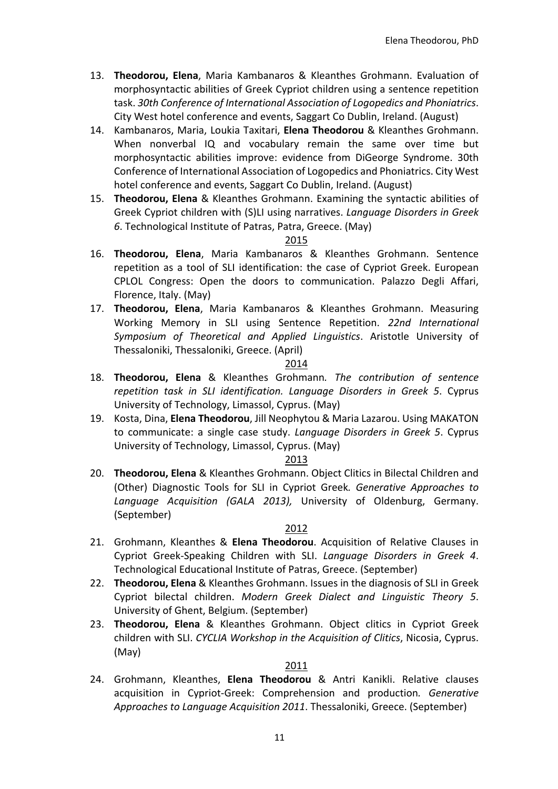- 13. **Theodorou, Elena**, Maria Kambanaros & Kleanthes Grohmann. Evaluation of morphosyntactic abilities of Greek Cypriot children using a sentence repetition task. *30th Conference of International Association of Logopedics and Phoniatrics*. City West hotel conference and events, Saggart Co Dublin, Ireland. (August)
- 14. Kambanaros, Maria, Loukia Taxitari, **Elena Theodorou** & Kleanthes Grohmann. When nonverbal IQ and vocabulary remain the same over time but morphosyntactic abilities improve: evidence from DiGeorge Syndrome. 30th Conference of International Association of Logopedics and Phoniatrics. City West hotel conference and events, Saggart Co Dublin, Ireland. (August)
- 15. **Theodorou, Elena** & Kleanthes Grohmann. Examining the syntactic abilities of Greek Cypriot children with (S)LI using narratives. *Language Disorders in Greek 6*. Technological Institute of Patras, Patra, Greece. (May)

#### 2015

- 16. **Theodorou, Elena**, Maria Kambanaros & Kleanthes Grohmann. Sentence repetition as a tool of SLI identification: the case of Cypriot Greek. European CPLOL Congress: Open the doors to communication. Palazzo Degli Affari, Florence, Italy. (May)
- 17. **Theodorou, Elena**, Maria Kambanaros & Kleanthes Grohmann. Measuring Working Memory in SLI using Sentence Repetition. *22nd International Symposium of Theoretical and Applied Linguistics*. Aristotle University of Thessaloniki, Thessaloniki, Greece. (April)

### 2014

- 18. **Theodorou, Elena** & Kleanthes Grohmann*. The contribution of sentence repetition task in SLI identification. Language Disorders in Greek 5*. Cyprus University of Technology, Limassol, Cyprus. (May)
- 19. Kosta, Dina, **Elena Theodorou**, Jill Neophytou & Maria Lazarou. Using MAKATON to communicate: a single case study. *Language Disorders in Greek 5*. Cyprus University of Technology, Limassol, Cyprus. (May)

### 2013

20. **Theodorou, Elena** & Kleanthes Grohmann. Object Clitics in Bilectal Children and (Other) Diagnostic Tools for SLI in Cypriot Greek*. Generative Approaches to Language Acquisition (GALA 2013),* University of Oldenburg, Germany. (September)

### 2012

- 21. Grohmann, Kleanthes & **Elena Theodorou**. Acquisition of Relative Clauses in Cypriot Greek-Speaking Children with SLI. *Language Disorders in Greek 4*. Technological Educational Institute of Patras, Greece. (September)
- 22. **Theodorou, Elena** & Kleanthes Grohmann. Issues in the diagnosis of SLI in Greek Cypriot bilectal children. *Modern Greek Dialect and Linguistic Theory 5*. University of Ghent, Belgium. (September)
- 23. **Theodorou, Elena** & Kleanthes Grohmann. Object clitics in Cypriot Greek children with SLI. *CYCLIA Workshop in the Acquisition of Clitics*, Nicosia, Cyprus. (May)

## 2011

24. Grohmann, Kleanthes, **Elena Theodorou** & Antri Kanikli. Relative clauses acquisition in Cypriot-Greek: Comprehension and production*. Generative Approaches to Language Acquisition 2011*. Thessaloniki, Greece. (September)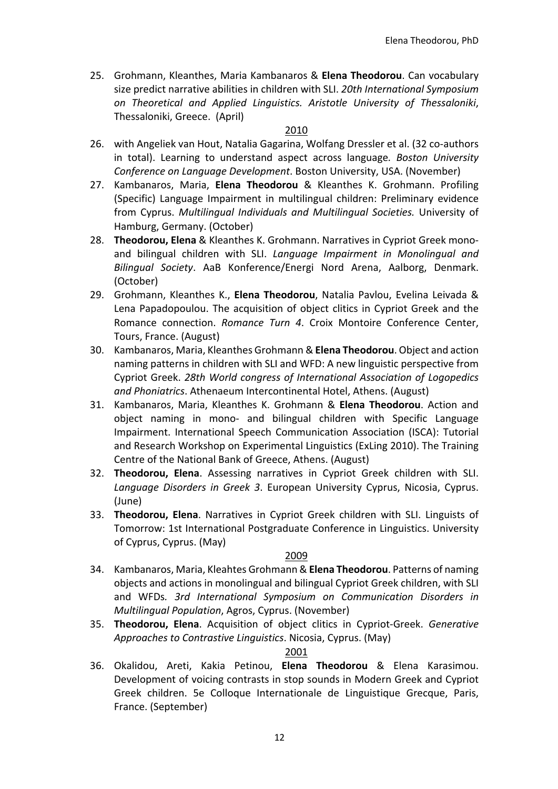25. Grohmann, Kleanthes, Maria Kambanaros & **Elena Theodorou**. Can vocabulary size predict narrative abilities in children with SLI. *20th International Symposium on Theoretical and Applied Linguistics. Aristotle University of Thessaloniki*, Thessaloniki, Greece. (April)

#### 2010

- 26. with Angeliek van Hout, Natalia Gagarina, Wolfang Dressler et al. (32 co-authors in total). Learning to understand aspect across language*. Boston University Conference on Language Development*. Boston University, USA. (November)
- 27. Kambanaros, Maria, **Elena Theodorou** & Kleanthes K. Grohmann. Profiling (Specific) Language Impairment in multilingual children: Preliminary evidence from Cyprus. *Multilingual Individuals and Multilingual Societies.* University of Hamburg, Germany. (October)
- 28. **Theodorou, Elena** & Kleanthes K. Grohmann. Narratives in Cypriot Greek monoand bilingual children with SLI. *Language Impairment in Monolingual and Bilingual Society*. AaB Konference/Energi Nord Arena, Aalborg, Denmark. (October)
- 29. Grohmann, Kleanthes K., **Elena Theodorou**, Natalia Pavlou, Evelina Leivada & Lena Papadopoulou. The acquisition of object clitics in Cypriot Greek and the Romance connection. *Romance Turn 4*. Croix Montoire Conference Center, Tours, France. (August)
- 30. Kambanaros, Maria, Kleanthes Grohmann & **Elena Theodorou**. Object and action naming patterns in children with SLI and WFD: A new linguistic perspective from Cypriot Greek. *28th World congress of International Association of Logopedics and Phoniatrics*. Athenaeum Intercontinental Hotel, Athens. (August)
- 31. Kambanaros, Maria, Kleanthes K. Grohmann & **Elena Theodorou**. Action and object naming in mono- and bilingual children with Specific Language Impairment. International Speech Communication Association (ISCA): Tutorial and Research Workshop on Experimental Linguistics (ExLing 2010). The Training Centre of the National Bank of Greece, Athens. (August)
- 32. **Theodorou, Elena**. Assessing narratives in Cypriot Greek children with SLI. *Language Disorders in Greek 3*. European University Cyprus, Nicosia, Cyprus. (June)
- 33. **Theodorou, Elena**. Narratives in Cypriot Greek children with SLI. Linguists of Tomorrow: 1st International Postgraduate Conference in Linguistics. University of Cyprus, Cyprus. (May)

### 2009

- 34. Kambanaros, Maria, Kleahtes Grohmann & **Elena Theodorou**. Patterns of naming objects and actions in monolingual and bilingual Cypriot Greek children, with SLI and WFDs*. 3rd International Symposium on Communication Disorders in Multilingual Population*, Agros, Cyprus. (November)
- 35. **Theodorou, Elena**. Acquisition of object clitics in Cypriot-Greek. *Generative Approaches to Contrastive Linguistics*. Nicosia, Cyprus. (May)

#### 2001

36. Okalidou, Areti, Kakia Petinou, **Elena Theodorou** & Elena Karasimou. Development of voicing contrasts in stop sounds in Modern Greek and Cypriot Greek children. 5e Colloque Internationale de Linguistique Grecque, Paris, France. (September)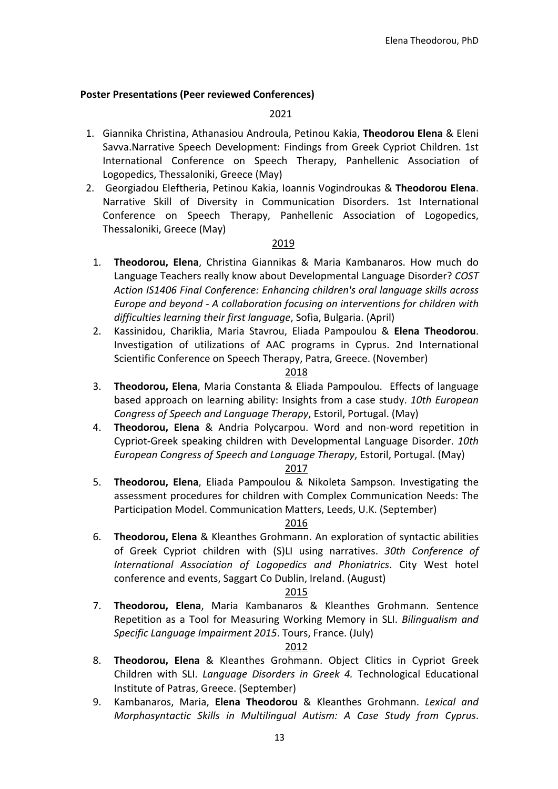## **Poster Presentations (Peer reviewed Conferences)**

### 2021

- 1. Giannika Christina, Athanasiou Androula, Petinou Kakia, **Theodorou Elena** & Eleni Savva.Narrative Speech Development: Findings from Greek Cypriot Children. 1st International Conference on Speech Therapy, Panhellenic Association of Logopedics, Thessaloniki, Greece (May)
- 2. Georgiadou Eleftheria, Petinou Kakia, Ioannis Vogindroukas & **Theodorou Elena**. Narrative Skill of Diversity in Communication Disorders. 1st International Conference on Speech Therapy, Panhellenic Association of Logopedics, Thessaloniki, Greece (May)

### 2019

- 1. **Theodorou, Elena**, Christina Giannikas & Maria Kambanaros. How much do Language Teachers really know about Developmental Language Disorder? *COST Action IS1406 Final Conference: Enhancing children's oral language skills across Europe and beyond - A collaboration focusing on interventions for children with difficulties learning their first language*, Sofia, Bulgaria. (April)
- 2. Kassinidou, Chariklia, Maria Stavrou, Eliada Pampoulou & **Elena Theodorou**. Investigation of utilizations of AAC programs in Cyprus. 2nd International Scientific Conference on Speech Therapy, Patra, Greece. (November)

#### 2018

- 3. **Theodorou, Elena**, Maria Constanta & Eliada Pampoulou. Effects of language based approach on learning ability: Insights from a case study. *10th European Congress of Speech and Language Therapy*, Estoril, Portugal. (May)
- 4. **Theodorou, Elena** & Andria Polycarpou. Word and non-word repetition in Cypriot-Greek speaking children with Developmental Language Disorder. *10th European Congress of Speech and Language Therapy*, Estoril, Portugal. (May)

### 2017

5. **Theodorou, Elena**, Eliada Pampoulou & Nikoleta Sampson. Investigating the assessment procedures for children with Complex Communication Needs: The Participation Model. Communication Matters, Leeds, U.K. (September)

### 2016

6. **Theodorou, Elena** & Kleanthes Grohmann. An exploration of syntactic abilities of Greek Cypriot children with (S)LI using narratives. *30th Conference of International Association of Logopedics and Phoniatrics*. City West hotel conference and events, Saggart Co Dublin, Ireland. (August)

### 2015

7. **Theodorou, Elena**, Maria Kambanaros & Kleanthes Grohmann. Sentence Repetition as a Tool for Measuring Working Memory in SLI. *Bilingualism and Specific Language Impairment 2015*. Tours, France. (July)

- 8. **Theodorou, Elena** & Kleanthes Grohmann. Object Clitics in Cypriot Greek Children with SLI. *Language Disorders in Greek 4.* Technological Educational Institute of Patras, Greece. (September)
- 9. Kambanaros, Maria, **Elena Theodorou** & Kleanthes Grohmann. *Lexical and Morphosyntactic Skills in Multilingual Autism: A Case Study from Cyprus*.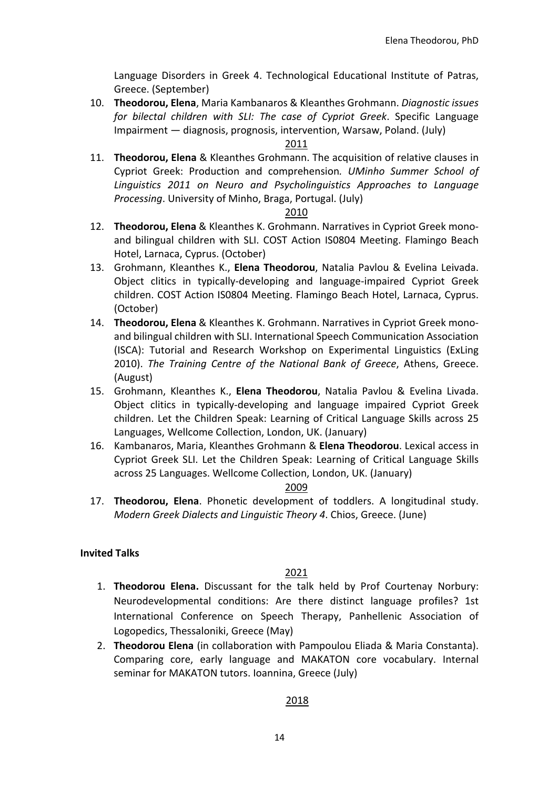Language Disorders in Greek 4. Technological Educational Institute of Patras, Greece. (September)

10. **Theodorou, Elena**, Maria Kambanaros & Kleanthes Grohmann. *Diagnostic issues for bilectal children with SLI: The case of Cypriot Greek*. Specific Language Impairment — diagnosis, prognosis, intervention, Warsaw, Poland. (July)

### 2011

11. **Theodorou, Elena** & Kleanthes Grohmann. The acquisition of relative clauses in Cypriot Greek: Production and comprehension*. UMinho Summer School of Linguistics 2011 on Neuro and Psycholinguistics Approaches to Language Processing*. University of Minho, Braga, Portugal. (July)

#### 2010

- 12. **Theodorou, Elena** & Kleanthes K. Grohmann. Narratives in Cypriot Greek monoand bilingual children with SLI. COST Action IS0804 Meeting. Flamingo Beach Hotel, Larnaca, Cyprus. (October)
- 13. Grohmann, Kleanthes K., **Elena Theodorou**, Natalia Pavlou & Evelina Leivada. Object clitics in typically-developing and language-impaired Cypriot Greek children. COST Action IS0804 Meeting. Flamingo Beach Hotel, Larnaca, Cyprus. (October)
- 14. **Theodorou, Elena** & Kleanthes K. Grohmann. Narratives in Cypriot Greek monoand bilingual children with SLI. International Speech Communication Association (ISCA): Tutorial and Research Workshop on Experimental Linguistics (ExLing 2010). *The Training Centre of the National Bank of Greece*, Athens, Greece. (August)
- 15. Grohmann, Kleanthes K., **Elena Theodorou**, Natalia Pavlou & Evelina Livada. Object clitics in typically-developing and language impaired Cypriot Greek children. Let the Children Speak: Learning of Critical Language Skills across 25 Languages, Wellcome Collection, London, UK. (January)
- 16. Kambanaros, Maria, Kleanthes Grohmann & **Elena Theodorou**. Lexical access in Cypriot Greek SLI. Let the Children Speak: Learning of Critical Language Skills across 25 Languages. Wellcome Collection, London, UK. (January)

### 2009

17. **Theodorou, Elena**. Phonetic development of toddlers. A longitudinal study. *Modern Greek Dialects and Linguistic Theory 4*. Chios, Greece. (June)

## **Invited Talks**

## 2021

- 1. **Theodorou Elena.** Discussant for the talk held by Prof Courtenay Norbury: Neurodevelopmental conditions: Are there distinct language profiles? 1st International Conference on Speech Therapy, Panhellenic Association of Logopedics, Thessaloniki, Greece (May)
- 2. **Theodorou Elena** (in collaboration with Pampoulou Eliada & Maria Constanta). Comparing core, early language and MAKATON core vocabulary. Internal seminar for MAKATON tutors. Ioannina, Greece (July)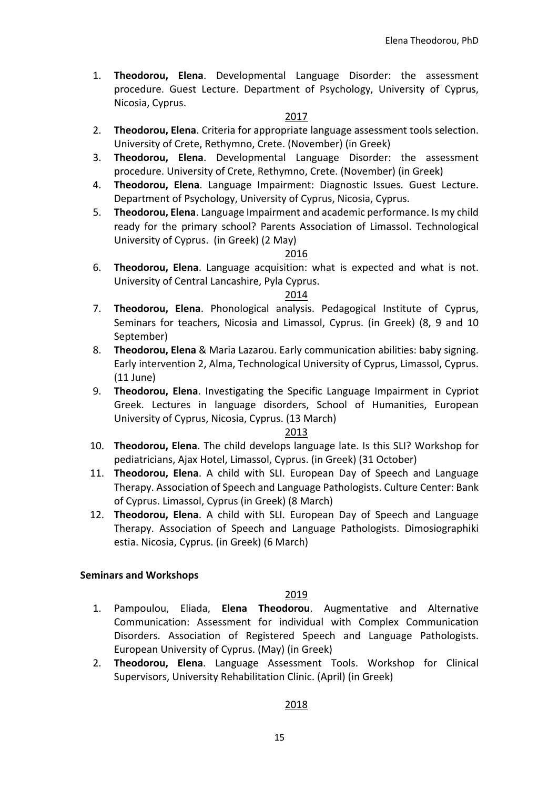1. **Theodorou, Elena**. Developmental Language Disorder: the assessment procedure. Guest Lecture. Department of Psychology, University of Cyprus, Nicosia, Cyprus.

## 2017

- 2. **Theodorou, Elena**. Criteria for appropriate language assessment tools selection. University of Crete, Rethymno, Crete. (November) (in Greek)
- 3. **Theodorou, Elena**. Developmental Language Disorder: the assessment procedure. University of Crete, Rethymno, Crete. (November) (in Greek)
- 4. **Theodorou, Elena**. Language Impairment: Diagnostic Issues. Guest Lecture. Department of Psychology, University of Cyprus, Nicosia, Cyprus.
- 5. **Theodorou, Elena**. Language Impairment and academic performance. Is my child ready for the primary school? Parents Association of Limassol. Technological University of Cyprus. (in Greek) (2 May)

### 2016

6. **Theodorou, Elena**. Language acquisition: what is expected and what is not. University of Central Lancashire, Pyla Cyprus.

### 2014

- 7. **Theodorou, Elena**. Phonological analysis. Pedagogical Institute of Cyprus, Seminars for teachers, Nicosia and Limassol, Cyprus. (in Greek) (8, 9 and 10 September)
- 8. **Theodorou, Elena** & Maria Lazarou. Early communication abilities: baby signing. Early intervention 2, Alma, Technological University of Cyprus, Limassol, Cyprus. (11 June)
- 9. **Theodorou, Elena**. Investigating the Specific Language Impairment in Cypriot Greek. Lectures in language disorders, School of Humanities, European University of Cyprus, Nicosia, Cyprus. (13 March)

## 2013

- 10. **Theodorou, Elena**. The child develops language late. Is this SLI? Workshop for pediatricians, Ajax Hotel, Limassol, Cyprus. (in Greek) (31 October)
- 11. **Theodorou, Elena**. A child with SLI. European Day of Speech and Language Therapy. Association of Speech and Language Pathologists. Culture Center: Bank of Cyprus. Limassol, Cyprus (in Greek) (8 March)
- 12. **Theodorou, Elena**. A child with SLI. European Day of Speech and Language Therapy. Association of Speech and Language Pathologists. Dimosiographiki estia. Nicosia, Cyprus. (in Greek) (6 March)

## **Seminars and Workshops**

## 2019

- 1. Pampoulou, Eliada, **Elena Theodorou**. Augmentative and Alternative Communication: Assessment for individual with Complex Communication Disorders. Association of Registered Speech and Language Pathologists. European University of Cyprus. (May) (in Greek)
- 2. **Theodorou, Elena**. Language Assessment Tools. Workshop for Clinical Supervisors, University Rehabilitation Clinic. (April) (in Greek)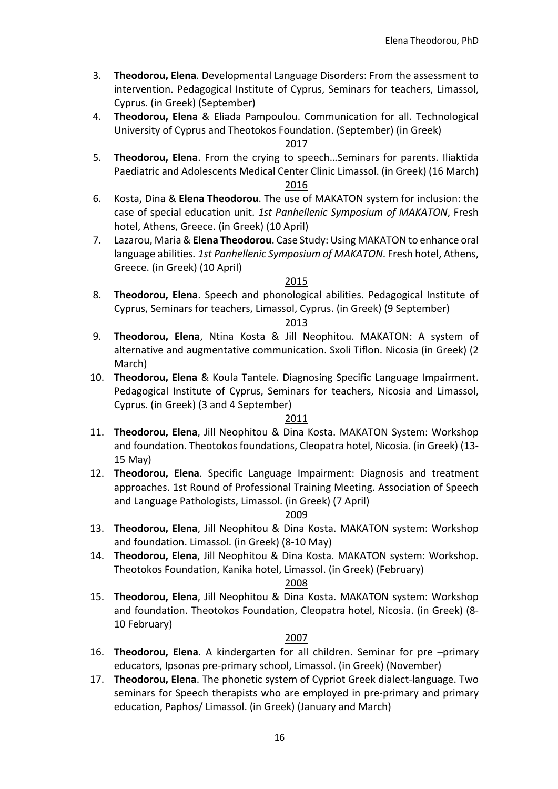- 3. **Theodorou, Elena**. Developmental Language Disorders: From the assessment to intervention. Pedagogical Institute of Cyprus, Seminars for teachers, Limassol, Cyprus. (in Greek) (September)
- 4. **Theodorou, Elena** & Eliada Pampoulou. Communication for all. Technological University of Cyprus and Theotokos Foundation. (September) (in Greek)

#### 2017

- 5. **Theodorou, Elena**. From the crying to speech…Seminars for parents. Iliaktida Paediatric and Adolescents Medical Center Clinic Limassol. (in Greek) (16 March) 2016
- 6. Kosta, Dina & **Elena Theodorou**. The use of MAKATON system for inclusion: the case of special education unit. *1st Panhellenic Symposium of MAKATON*, Fresh hotel, Athens, Greece. (in Greek) (10 April)
- 7. Lazarou, Maria & **Elena Theodorou**. Case Study: Using MAKATON to enhance oral language abilities*. 1st Panhellenic Symposium of MAKATON*. Fresh hotel, Athens, Greece. (in Greek) (10 April)

#### 2015

8. **Theodorou, Elena**. Speech and phonological abilities. Pedagogical Institute of Cyprus, Seminars for teachers, Limassol, Cyprus. (in Greek) (9 September)

### 2013

- 9. **Theodorou, Elena**, Ntina Kosta & Jill Neophitou. MAKATON: A system of alternative and augmentative communication. Sxoli Tiflon. Nicosia (in Greek) (2 March)
- 10. **Theodorou, Elena** & Koula Tantele. Diagnosing Specific Language Impairment. Pedagogical Institute of Cyprus, Seminars for teachers, Nicosia and Limassol, Cyprus. (in Greek) (3 and 4 September)

### 2011

- 11. **Theodorou, Elena**, Jill Neophitou & Dina Kosta. MAKATON System: Workshop and foundation. Theotokos foundations, Cleopatra hotel, Nicosia. (in Greek) (13- 15 May)
- 12. **Theodorou, Elena**. Specific Language Impairment: Diagnosis and treatment approaches. 1st Round of Professional Training Meeting. Association of Speech and Language Pathologists, Limassol. (in Greek) (7 April)

### 2009

- 13. **Theodorou, Elena**, Jill Neophitou & Dina Kosta. MAKATON system: Workshop and foundation. Limassol. (in Greek) (8-10 May)
- 14. **Theodorou, Elena**, Jill Neophitou & Dina Kosta. MAKATON system: Workshop. Theotokos Foundation, Kanika hotel, Limassol. (in Greek) (February)

### 2008

15. **Theodorou, Elena**, Jill Neophitou & Dina Kosta. MAKATON system: Workshop and foundation. Theotokos Foundation, Cleopatra hotel, Nicosia. (in Greek) (8- 10 February)

- 16. **Theodorou, Elena**. A kindergarten for all children. Seminar for pre –primary educators, Ipsonas pre-primary school, Limassol. (in Greek) (November)
- 17. **Theodorou, Elena**. The phonetic system of Cypriot Greek dialect-language. Two seminars for Speech therapists who are employed in pre-primary and primary education, Paphos/ Limassol. (in Greek) (January and March)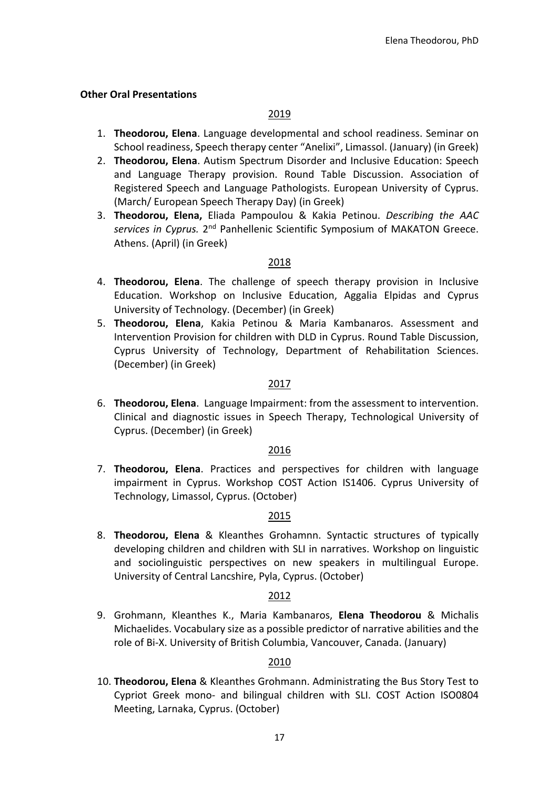## **Other Oral Presentations**

## 2019

- 1. **Theodorou, Elena**. Language developmental and school readiness. Seminar on School readiness, Speech therapy center "Anelixi", Limassol. (January) (in Greek)
- 2. **Theodorou, Elena**. Autism Spectrum Disorder and Inclusive Education: Speech and Language Therapy provision. Round Table Discussion. Association of Registered Speech and Language Pathologists. European University of Cyprus. (March/ European Speech Therapy Day) (in Greek)
- 3. **Theodorou, Elena,** Eliada Pampoulou & Kakia Petinou. *Describing the AAC services in Cyprus.* 2nd Panhellenic Scientific Symposium of MAKATON Greece. Athens. (April) (in Greek)

### 2018

- 4. **Theodorou, Elena**. The challenge of speech therapy provision in Inclusive Education. Workshop on Inclusive Education, Aggalia Elpidas and Cyprus University of Technology. (December) (in Greek)
- 5. **Theodorou, Elena**, Kakia Petinou & Maria Kambanaros. Assessment and Intervention Provision for children with DLD in Cyprus. Round Table Discussion, Cyprus University of Technology, Department of Rehabilitation Sciences. (December) (in Greek)

### 2017

6. **Theodorou, Elena**. Language Impairment: from the assessment to intervention. Clinical and diagnostic issues in Speech Therapy, Technological University of Cyprus. (December) (in Greek)

### 2016

7. **Theodorou, Elena**. Practices and perspectives for children with language impairment in Cyprus. Workshop COST Action IS1406. Cyprus University of Technology, Limassol, Cyprus. (October)

### 2015

8. **Τheodorou, Elena** & Kleanthes Grohamnn. Syntactic structures of typically developing children and children with SLI in narratives. Workshop on linguistic and sociolinguistic perspectives on new speakers in multilingual Europe. University of Central Lancshire, Pyla, Cyprus. (October)

### 2012

9. Grohmann, Kleanthes K., Maria Kambanaros, **Elena Theodorou** & Michalis Michaelides. Vocabulary size as a possible predictor of narrative abilities and the role of Bi-X. University of British Columbia, Vancouver, Canada. (January)

## 2010

10. **Theodorou, Elena** & Kleanthes Grohmann. Administrating the Bus Story Test to Cypriot Greek mono- and bilingual children with SLI. COST Action ISO0804 Meeting, Larnaka, Cyprus. (October)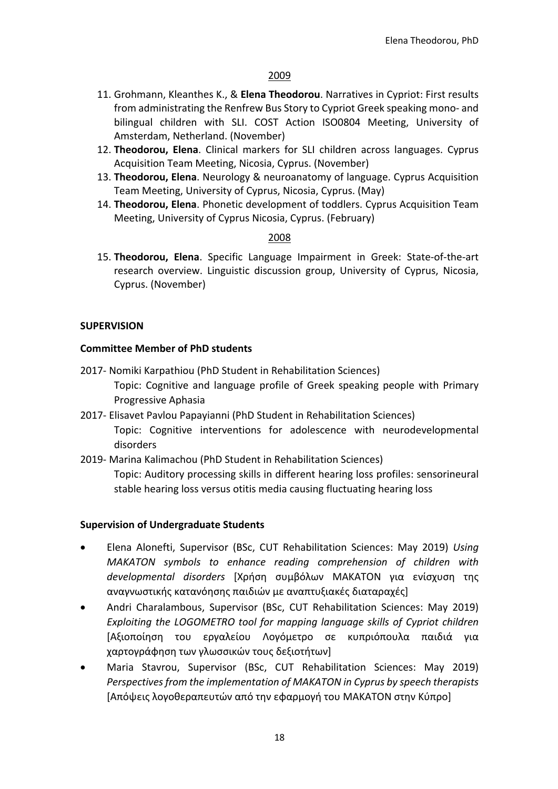# 2009

- 11. Grohmann, Kleanthes K., & **Elena Theodorou**. Narratives in Cypriot: First results from administrating the Renfrew Bus Story to Cypriot Greek speaking mono- and bilingual children with SLI. COST Action ISO0804 Meeting, University of Amsterdam, Netherland. (November)
- 12. **Theodorou, Elena**. Clinical markers for SLI children across languages. Cyprus Acquisition Team Meeting, Nicosia, Cyprus. (November)
- 13. **Theodorou, Elena**. Neurology & neuroanatomy of language. Cyprus Acquisition Team Meeting, University of Cyprus, Nicosia, Cyprus. (May)
- 14. **Theodorou, Elena**. Phonetic development of toddlers. Cyprus Acquisition Team Meeting, University of Cyprus Nicosia, Cyprus. (February)

## 2008

15. **Theodorou, Elena**. Specific Language Impairment in Greek: State-of-the-art research overview. Linguistic discussion group, University of Cyprus, Nicosia, Cyprus. (November)

## **SUPERVISION**

## **Committee Member of PhD students**

2017- Nomiki Karpathiou (PhD Student in Rehabilitation Sciences)

Topic: Cognitive and language profile of Greek speaking people with Primary Progressive Aphasia

- 2017- Elisavet Pavlou Papayianni (PhD Student in Rehabilitation Sciences) Topic: Cognitive interventions for adolescence with neurodevelopmental disorders
- 2019- Marina Kalimachou (PhD Student in Rehabilitation Sciences)

Topic: Auditory processing skills in different hearing loss profiles: sensorineural stable hearing loss versus otitis media causing fluctuating hearing loss

## **Supervision of Undergraduate Students**

- Elena Alonefti, Supervisor (BSc, CUT Rehabilitation Sciences: May 2019) *Using MΑΚATON symbols to enhance reading comprehension of children with developmental disorders* [Χρήση συμβόλων ΜΑΚΑΤΟΝ για ενίσχυση της αναγνωστικής κατανόησης παιδιών με αναπτυξιακές διαταραχές]
- Andri Charalambous, Supervisor (BSc, CUT Rehabilitation Sciences: May 2019) *Exploiting the LOGOMETRO tool for mapping language skills of Cypriot children* [Αξιοποίηση του εργαλείου Λογόμετρο σε κυπριόπουλα παιδιά για χαρτογράφηση των γλωσσικών τους δεξιοτήτων]
- Maria Stavrou, Supervisor (BSc, CUT Rehabilitation Sciences: May 2019) *Perspectives from the implementation of MAKATON in Cyprus by speech therapists* [Απόψεις λογοθεραπευτών από την εφαρμογή του ΜΑΚΑΤΟΝ στην Κύπρο]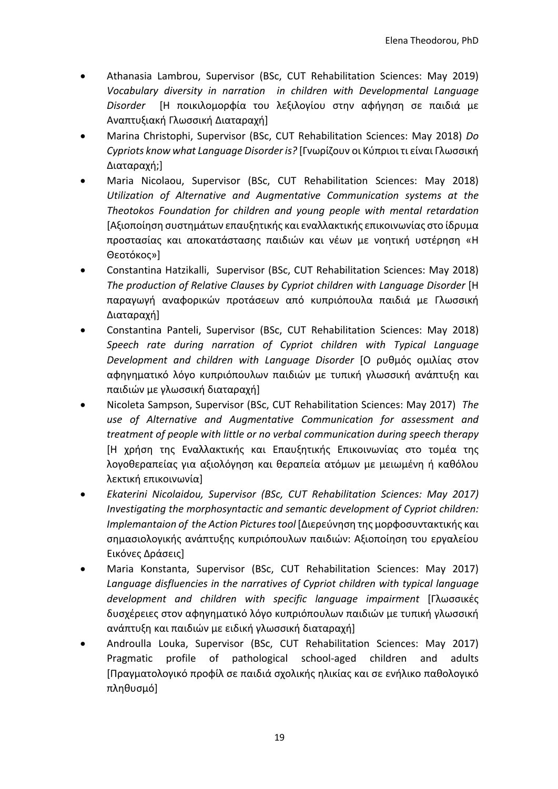- Athanasia Lambrou, Supervisor (BSc, CUT Rehabilitation Sciences: May 2019) *Vocabulary diversity in narration in children with Developmental Language Disorder* [Η ποικιλομορφία του λεξιλογίου στην αφήγηση σε παιδιά με Αναπτυξιακή Γλωσσική Διαταραχή]
- Marina Christophi, Supervisor (BSc, CUT Rehabilitation Sciences: May 2018) *Do Cypriots know what Language Disorder is?* [Γνωρίζουν οι Κύπριοιτι είναι Γλωσσική Διαταραχή;]
- Maria Nicolaou, Supervisor (BSc, CUT Rehabilitation Sciences: May 2018) *Utilization of Alternative and Augmentative Communication systems at the Theotokos Foundation for children and young people with mental retardation*  [Αξιοποίηση συστημάτων επαυξητικής και εναλλακτικής επικοινωνίας στο ίδρυμα προστασίας και αποκατάστασης παιδιών και νέων με νοητική υστέρηση «Η Θεοτόκος»]
- Constantina Hatzikalli, Supervisor (BSc, CUT Rehabilitation Sciences: May 2018) *The production of Relative Clauses by Cypriot children with Language Disorder* [Η παραγωγή αναφορικών προτάσεων από κυπριόπουλα παιδιά με Γλωσσική Διαταραχή]
- Constantina Panteli, Supervisor (BSc, CUT Rehabilitation Sciences: May 2018) *Speech rate during narration of Cypriot children with Typical Language Development and children with Language Disorder* [Ο ρυθμός ομιλίας στον αφηγηματικό λόγο κυπριόπουλων παιδιών με τυπική γλωσσική ανάπτυξη και παιδιών με γλωσσική διαταραχή]
- Nicoleta Sampson, Supervisor (BSc, CUT Rehabilitation Sciences: May 2017) *The use of Alternative and Augmentative Communication for assessment and treatment of people with little or no verbal communication during speech therapy*  [Η χρήση της Eναλλακτικής και Eπαυξητικής Eπικοινωνίας στο τομέα της λογοθεραπείας για αξιολόγηση και θεραπεία ατόμων με μειωμένη ή καθόλου λεκτική επικοινωνία]
- *Ekaterini Nicolaidou, Supervisor (BSc, CUT Rehabilitation Sciences: May 2017) Investigating the morphosyntactic and semantic development of Cypriot children: Implemantaion of the Action Pictures tool* [Διερεύνηση της μορφοσυντακτικής και σημασιολογικής ανάπτυξης κυπριόπουλων παιδιών: Αξιοποίηση του εργαλείου Εικόνες Δράσεις]
- Maria Konstanta, Supervisor (BSc, CUT Rehabilitation Sciences: May 2017) *Language disfluencies in the narratives of Cypriot children with typical language development and children with specific language impairment* [Γλωσσικές δυσχέρειες στον αφηγηματικό λόγο κυπριόπουλων παιδιών με τυπική γλωσσική ανάπτυξη και παιδιών με ειδική γλωσσική διαταραχή]
- Αndroulla Louka, Supervisor (BSc, CUT Rehabilitation Sciences: May 2017) Pragmatic profile of pathological school-aged children and adults [Πραγματολογικό προφίλ σε παιδιά σχολικής ηλικίας και σε ενήλικο παθολογικό πληθυσμό]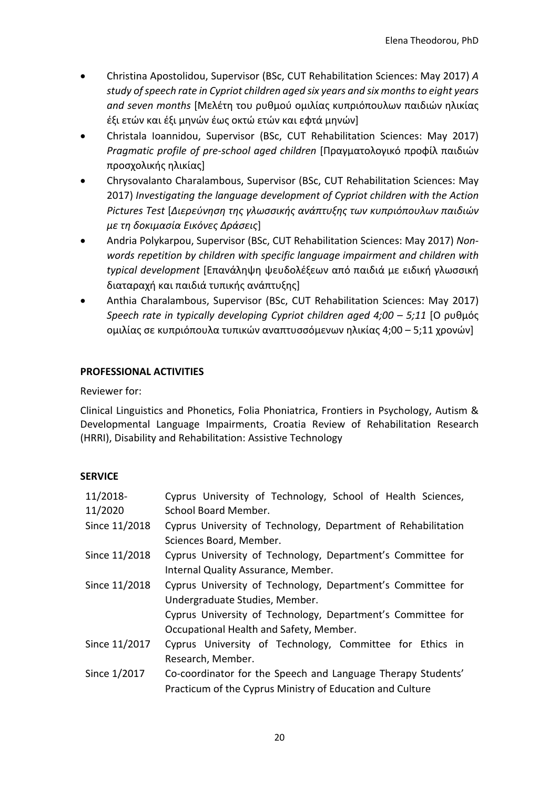- Christina Apostolidou, Supervisor (BSc, CUT Rehabilitation Sciences: May 2017) *A study of speech rate in Cypriot children aged six years and six months to eight years and seven months* [Μελέτη του ρυθμού ομιλίας κυπριόπουλων παιδιών ηλικίας έξι ετών και έξι μηνών έως οκτώ ετών και εφτά μηνών]
- Christala Ioannidou, Supervisor (BSc, CUT Rehabilitation Sciences: May 2017) *Pragmatic profile of pre-school aged children* [Πραγματολογικό προφίλ παιδιών προσχολικής ηλικίας]
- Chrysovalanto Charalambous, Supervisor (BSc, CUT Rehabilitation Sciences: May 2017) *Investigating the language development of Cypriot children with the Action Pictures Test* [*Διερεύνηση της γλωσσικής ανάπτυξης των κυπριόπουλων παιδιών με τη δοκιμασία Εικόνες Δράσεις*]
- Andria Polykarpou, Supervisor (BSc, CUT Rehabilitation Sciences: May 2017) *Nonwords repetition by children with specific language impairment and children with typical development* [Επανάληψη ψευδολέξεων από παιδιά με ειδική γλωσσική διαταραχή και παιδιά τυπικής ανάπτυξης]
- Anthia Charalambous, Supervisor (BSc, CUT Rehabilitation Sciences: May 2017) *Speech rate in typically developing Cypriot children aged 4;00 – 5;11* [Ο ρυθμός ομιλίας σε κυπριόπουλα τυπικών αναπτυσσόμενων ηλικίας 4;00 – 5;11 χρονών]

# **PROFESSIONAL ACTIVITIES**

### Reviewer for:

Clinical Linguistics and Phonetics, Folia Phoniatrica, Frontiers in Psychology, Autism & Developmental Language Impairments, Croatia Review of Rehabilitation Research (HRRI), Disability and Rehabilitation: Assistive Technology

## **SERVICE**

| 11/2018-<br>11/2020 | Cyprus University of Technology, School of Health Sciences,<br><b>School Board Member.</b>                                |
|---------------------|---------------------------------------------------------------------------------------------------------------------------|
| Since 11/2018       | Cyprus University of Technology, Department of Rehabilitation<br>Sciences Board, Member.                                  |
| Since 11/2018       | Cyprus University of Technology, Department's Committee for<br>Internal Quality Assurance, Member.                        |
| Since 11/2018       | Cyprus University of Technology, Department's Committee for<br>Undergraduate Studies, Member.                             |
|                     | Cyprus University of Technology, Department's Committee for<br>Occupational Health and Safety, Member.                    |
| Since 11/2017       | Cyprus University of Technology, Committee for Ethics in<br>Research, Member.                                             |
| Since 1/2017        | Co-coordinator for the Speech and Language Therapy Students'<br>Practicum of the Cyprus Ministry of Education and Culture |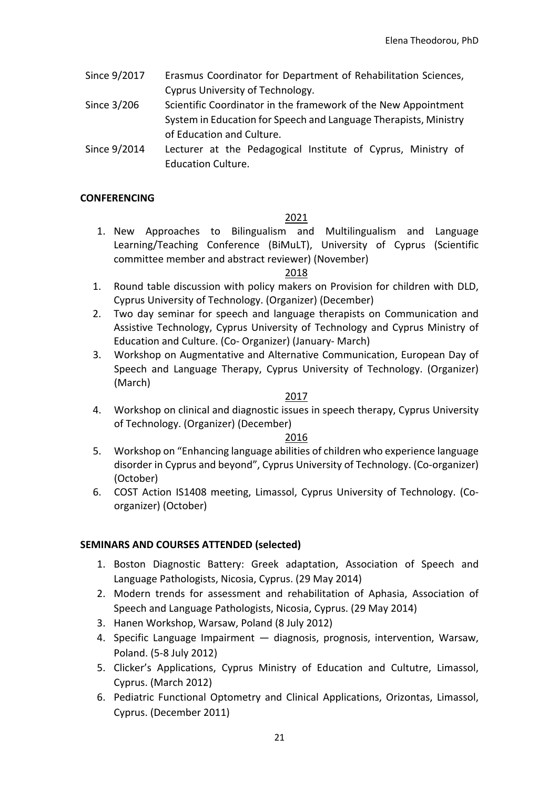- Since 9/2017 Erasmus Coordinator for Department of Rehabilitation Sciences, Cyprus University of Technology.
- Since 3/206 Scientific Coordinator in the framework of the New Appointment System in Education for Speech and Language Therapists, Ministry of Education and Culture.
- Since 9/2014 Lecturer at the Pedagogical Institute of Cyprus, Ministry of Education Culture.

## **CONFERENCING**

### 2021

1. New Approaches to Bilingualism and Multilingualism and Language Learning/Teaching Conference (BiMuLT), University of Cyprus (Scientific committee member and abstract reviewer) (November)

## 2018

- 1. Round table discussion with policy makers on Provision for children with DLD, Cyprus University of Technology. (Organizer) (December)
- 2. Two day seminar for speech and language therapists on Communication and Assistive Technology, Cyprus University of Technology and Cyprus Ministry of Education and Culture. (Co- Organizer) (January- March)
- 3. Workshop on Augmentative and Alternative Communication, European Day of Speech and Language Therapy, Cyprus University of Technology. (Organizer) (March)

## 2017

4. Workshop on clinical and diagnostic issues in speech therapy, Cyprus University of Technology. (Organizer) (December)

### 2016

- 5. Workshop on "Enhancing language abilities of children who experience language disorder in Cyprus and beyond", Cyprus University of Technology. (Co-organizer) (October)
- 6. COST Action IS1408 meeting, Limassol, Cyprus University of Technology. (Coorganizer) (October)

## **SEMINARS AND COURSES ATTENDED (selected)**

- 1. Boston Diagnostic Battery: Greek adaptation, Association of Speech and Language Pathologists, Nicosia, Cyprus. (29 May 2014)
- 2. Modern trends for assessment and rehabilitation of Aphasia, Association of Speech and Language Pathologists, Nicosia, Cyprus. (29 May 2014)
- 3. Hanen Workshop, Warsaw, Poland (8 July 2012)
- 4. Specific Language Impairment diagnosis, prognosis, intervention, Warsaw, Poland. (5-8 July 2012)
- 5. Clicker's Applications, Cyprus Ministry of Education and Cultutre, Limassol, Cyprus. (March 2012)
- 6. Pediatric Functional Optometry and Clinical Applications, Orizontas, Limassol, Cyprus. (December 2011)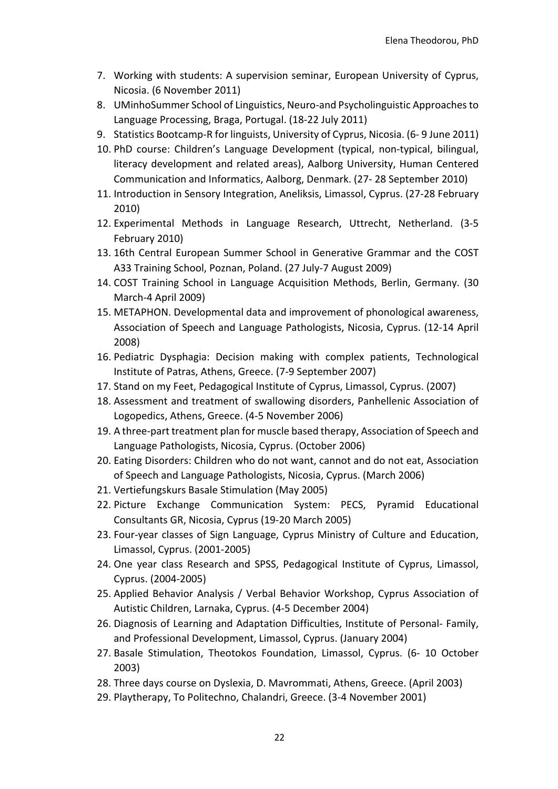- 7. Working with students: A supervision seminar, European University of Cyprus, Nicosia. (6 November 2011)
- 8. UMinhoSummer School of Linguistics, Neuro-and Psycholinguistic Approaches to Language Processing, Braga, Portugal. (18-22 July 2011)
- 9. Statistics Bootcamp-R for linguists, University of Cyprus, Nicosia. (6- 9 June 2011)
- 10. PhD course: Children's Language Development (typical, non-typical, bilingual, literacy development and related areas), Aalborg University, Human Centered Communication and Informatics, Aalborg, Denmark. (27- 28 September 2010)
- 11. Introduction in Sensory Integration, Aneliksis, Limassol, Cyprus. (27-28 February 2010)
- 12. Experimental Methods in Language Research, Uttrecht, Netherland. (3-5 February 2010)
- 13. 16th Central European Summer School in Generative Grammar and the COST A33 Training School, Poznan, Poland. (27 July-7 August 2009)
- 14. COST Training School in Language Acquisition Methods, Berlin, Germany. (30 March-4 April 2009)
- 15. METAPHON. Developmental data and improvement of phonological awareness, Association of Speech and Language Pathologists, Nicosia, Cyprus. (12-14 April 2008)
- 16. Pediatric Dysphagia: Decision making with complex patients, Technological Institute of Patras, Athens, Greece. (7-9 September 2007)
- 17. Stand on my Feet, Pedagogical Institute of Cyprus, Limassol, Cyprus. (2007)
- 18. Assessment and treatment of swallowing disorders, Panhellenic Association of Logopedics, Athens, Greece. (4-5 November 2006)
- 19. A three-part treatment plan for muscle based therapy, Association of Speech and Language Pathologists, Nicosia, Cyprus. (October 2006)
- 20. Eating Disorders: Children who do not want, cannot and do not eat, Association of Speech and Language Pathologists, Nicosia, Cyprus. (March 2006)
- 21. Vertiefungskurs Basale Stimulation (May 2005)
- 22. Picture Exchange Communication System: PECS, Pyramid Educational Consultants GR, Nicosia, Cyprus (19-20 March 2005)
- 23. Four-year classes of Sign Language, Cyprus Ministry of Culture and Education, Limassol, Cyprus. (2001-2005)
- 24. One year class Research and SPSS, Pedagogical Institute of Cyprus, Limassol, Cyprus. (2004-2005)
- 25. Applied Behavior Analysis / Verbal Behavior Workshop, Cyprus Association of Autistic Children, Larnaka, Cyprus. (4-5 December 2004)
- 26. Diagnosis of Learning and Adaptation Difficulties, Institute of Personal- Family, and Professional Development, Limassol, Cyprus. (January 2004)
- 27. Basale Stimulation, Theotokos Foundation, Limassol, Cyprus. (6- 10 October 2003)
- 28. Three days course on Dyslexia, D. Mavrommati, Athens, Greece. (April 2003)
- 29. Playtherapy, To Politechno, Chalandri, Greece. (3-4 November 2001)